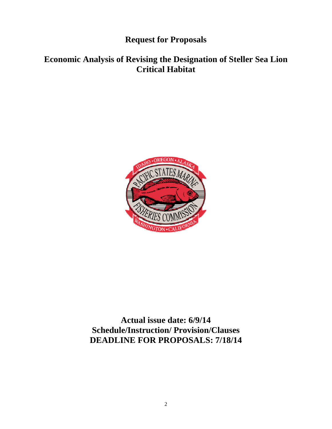**Request for Proposals** 

# **Economic Analysis of Revising the Designation of Steller Sea Lion Critical Habitat**



**Actual issue date: 6/9/14 Schedule/Instruction/ Provision/Clauses DEADLINE FOR PROPOSALS: 7/18/14**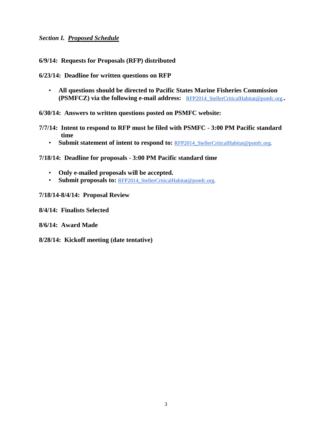### *Section I. Proposed Schedule*

**6/9/14: Requests for Proposals (RFP) distributed** 

**6/23/14: Deadline for written questions on RFP** 

• **All questions should be directed to Pacific States Marine Fisheries Commission (PSMFCZ) via the following e-mail address:** RFP2014 StellerCriticalHabitat@psmfc.org.

**6/30/14: Answers to written questions posted on PSMFC website:** 

- **7/7/14: Intent to respond to RFP must be filed with PSMFC 3:00 PM Pacific standard time** 
	- Submit statement of intent to respond to: RFP2014 StellerCriticalHabitat@psmfc.org.

**7/18/14: Deadline for proposals - 3:00 PM Pacific standard time** 

- **Only e-mailed proposals will be accepted.**
- **Submit proposals to: RFP2014 StellerCriticalHabitat@psmfc.org.**
- **7/18/14-8/4/14: Proposal Review**

**8/4/14: Finalists Selected** 

**8/6/14: Award Made** 

**8/28/14: Kickoff meeting (date tentative)**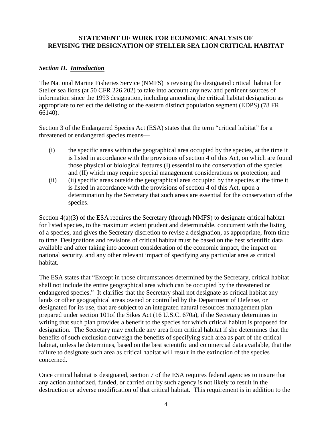# **STATEMENT OF WORK FOR ECONOMIC ANALYSIS OF REVISING THE DESIGNATION OF STELLER SEA LION CRITICAL HABITAT**

### *Section II. Introduction*

The National Marine Fisheries Service (NMFS) is revising the designated critical habitat for Steller sea lions (at 50 CFR 226.202) to take into account any new and pertinent sources of information since the 1993 designation, including amending the critical habitat designation as appropriate to reflect the delisting of the eastern distinct population segment (EDPS) (78 FR 66140).

Section 3 of the Endangered Species Act (ESA) states that the term "critical habitat" for a threatened or endangered species means—

- (i) the specific areas within the geographical area occupied by the species, at the time it is listed in accordance with the provisions of section 4 of this Act, on which are found those physical or biological features (I) essential to the conservation of the species and (II) which may require special management considerations or protection; and
- (ii) (ii) specific areas outside the geographical area occupied by the species at the time it is listed in accordance with the provisions of section 4 of this Act, upon a determination by the Secretary that such areas are essential for the conservation of the species.

Section  $4(a)(3)$  of the ESA requires the Secretary (through NMFS) to designate critical habitat for listed species, to the maximum extent prudent and determinable, concurrent with the listing of a species, and gives the Secretary discretion to revise a designation, as appropriate, from time to time. Designations and revisions of critical habitat must be based on the best scientific data available and after taking into account consideration of the economic impact, the impact on national security, and any other relevant impact of specifying any particular area as critical habitat.

The ESA states that "Except in those circumstances determined by the Secretary, critical habitat shall not include the entire geographical area which can be occupied by the threatened or endangered species." It clarifies that the Secretary shall not designate as critical habitat any lands or other geographical areas owned or controlled by the Department of Defense, or designated for its use, that are subject to an integrated natural resources management plan prepared under section 101of the Sikes Act (16 U.S.C. 670a), if the Secretary determines in writing that such plan provides a benefit to the species for which critical habitat is proposed for designation. The Secretary may exclude any area from critical habitat if she determines that the benefits of such exclusion outweigh the benefits of specifying such area as part of the critical habitat, unless he determines, based on the best scientific and commercial data available, that the failure to designate such area as critical habitat will result in the extinction of the species concerned.

Once critical habitat is designated, section 7 of the ESA requires federal agencies to insure that any action authorized, funded, or carried out by such agency is not likely to result in the destruction or adverse modification of that critical habitat. This requirement is in addition to the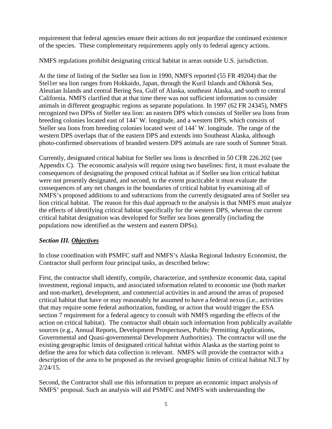requirement that federal agencies ensure their actions do not jeopardize the continued existence of the species. These complementary requirements apply only to federal agency actions.

NMFS regulations prohibit designating critical habitat in areas outside U.S. jurisdiction.

At the time of listing of the Steller sea lion in 1990, NMFS reported (55 FR 49204) that the Stel1er sea lion ranges from Hokkaido, Japan, through the Kuril Islands and Okhotsk Sea, Aleutian Islands and central Bering Sea, Gulf of Alaska, southeast Alaska, and south to central California. NMFS clarified that at that time there was not sufficient information to consider animals in different geographic regions as separate populations. In 1997 (62 FR 24345), NMFS recognized two DPSs of Steller sea lion: an eastern DPS which consists of Steller sea lions from breeding colonies located east of 144˚ W. longitude, and a western DPS, which consists of Steller sea lions from breeding colonies located west of 144˚ W. longitude. The range of the western DPS overlaps that of the eastern DPS and extends into Southeast Alaska, although photo-confirmed observations of branded western DPS animals are rare south of Sumner Strait.

Currently, designated critical habitat for Steller sea lions is described in 50 CFR 226.202 (see Appendix C). The economic analysis will require using two baselines: first, it must evaluate the consequences of designating the proposed critical habitat as if Steller sea lion critical habitat were not presently designated, and second, to the extent practicable it must evaluate the consequences of any net changes in the boundaries of critical habitat by examining all of NMFS's proposed additions to and subtractions from the currently designated area of Steller sea lion critical habitat. The reason for this dual approach to the analysis is that NMFS must analyze the effects of identifying critical habitat specifically for the western DPS, whereas the current critical habitat designation was developed for Steller sea lions generally (including the populations now identified as the western and eastern DPSs).

# *Section III. Objectives*

In close coordination with PSMFC staff and NMFS's Alaska Regional Industry Economist, the Contractor shall perform four principal tasks, as described below:

First, the contractor shall identify, compile, characterize, and synthesize economic data, capital investment, regional impacts, and associated information related to economic use (both market and non-market), development, and commercial activities in and around the areas of proposed critical habitat that have or may reasonably be assumed to have a federal nexus (i.e., activities that may require some federal authorization, funding, or action that would trigger the ESA section 7 requirement for a federal agency to consult with NMFS regarding the effects of the action on critical habitat). The contractor shall obtain such information from publically available sources (e.g., Annual Reports, Development Prospectuses, Public Permitting Applications, Governmental and Quasi-governmental Development Authorities). The contractor will use the existing geographic limits of designated critical habitat within Alaska as the starting point to define the area for which data collection is relevant. NMFS will provide the contractor with a description of the area to be proposed as the revised geographic limits of critical habitat NLT by 2/24/15.

Second, the Contractor shall use this information to prepare an economic impact analysis of NMFS' proposal. Such an analysis will aid PSMFC and NMFS with understanding the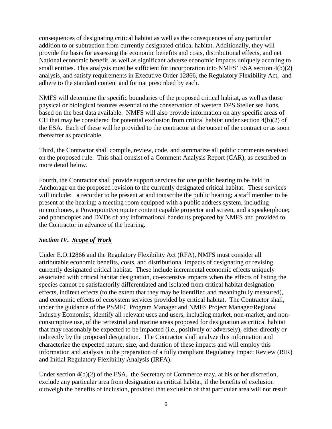consequences of designating critical habitat as well as the consequences of any particular addition to or subtraction from currently designated critical habitat. Additionally, they will provide the basis for assessing the economic benefits and costs, distributional effects, and net National economic benefit, as well as significant adverse economic impacts uniquely accruing to small entities. This analysis must be sufficient for incorporation into NMFS' ESA section 4(b)(2) analysis, and satisfy requirements in Executive Order 12866, the Regulatory Flexibility Act, and adhere to the standard content and format prescribed by each.

NMFS will determine the specific boundaries of the proposed critical habitat, as well as those physical or biological features essential to the conservation of western DPS Steller sea lions, based on the best data available. NMFS will also provide information on any specific areas of CH that may be considered for potential exclusion from critical habitat under section 4(b)(2) of the ESA. Each of these will be provided to the contractor at the outset of the contract or as soon thereafter as practicable.

Third, the Contractor shall compile, review, code, and summarize all public comments received on the proposed rule. This shall consist of a Comment Analysis Report (CAR), as described in more detail below.

Fourth, the Contractor shall provide support services for one public hearing to be held in Anchorage on the proposed revision to the currently designated critical habitat. These services will include: a recorder to be present at and transcribe the public hearing; a staff member to be present at the hearing; a meeting room equipped with a public address system, including microphones, a Powerpoint/computer content capable projector and screen, and a speakerphone; and photocopies and DVDs of any informational handouts prepared by NMFS and provided to the Contractor in advance of the hearing.

# *Section IV. Scope of Work*

Under E.O.12866 and the Regulatory Flexibility Act (RFA), NMFS must consider all attributable economic benefits, costs, and distributional impacts of designating or revising currently designated critical habitat. These include incremental economic effects uniquely associated with critical habitat designation, co-extensive impacts when the effects of listing the species cannot be satisfactorily differentiated and isolated from critical habitat designation effects, indirect effects (to the extent that they may be identified and meaningfully measured), and economic effects of ecosystem services provided by critical habitat. The Contractor shall, under the guidance of the PSMFC Program Manager and NMFS Project Manager/Regional Industry Economist, identify all relevant uses and users, including market, non-market, and nonconsumptive use, of the terrestrial and marine areas proposed for designation as critical habitat that may reasonably be expected to be impacted (i.e., positively or adversely), either directly or indirectly by the proposed designation. The Contractor shall analyze this information and characterize the expected nature, size, and duration of these impacts and will employ this information and analysis in the preparation of a fully compliant Regulatory Impact Review (RIR) and Initial Regulatory Flexibility Analysis (IRFA).

Under section  $4(b)(2)$  of the ESA, the Secretary of Commerce may, at his or her discretion, exclude any particular area from designation as critical habitat, if the benefits of exclusion outweigh the benefits of inclusion, provided that exclusion of that particular area will not result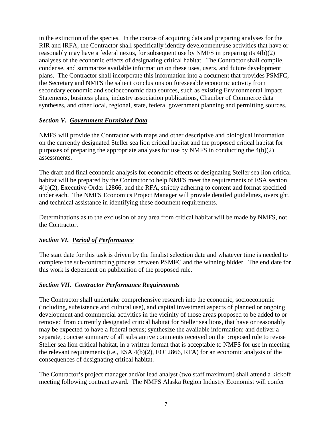in the extinction of the species. In the course of acquiring data and preparing analyses for the RIR and IRFA, the Contractor shall specifically identify development/use activities that have or reasonably may have a federal nexus, for subsequent use by NMFS in preparing its 4(b)(2) analyses of the economic effects of designating critical habitat. The Contractor shall compile, condense, and summarize available information on these uses, users, and future development plans. The Contractor shall incorporate this information into a document that provides PSMFC, the Secretary and NMFS the salient conclusions on foreseeable economic activity from secondary economic and socioeconomic data sources, such as existing Environmental Impact Statements, business plans, industry association publications, Chamber of Commerce data syntheses, and other local, regional, state, federal government planning and permitting sources.

# *Section V. Government Furnished Data*

NMFS will provide the Contractor with maps and other descriptive and biological information on the currently designated Steller sea lion critical habitat and the proposed critical habitat for purposes of preparing the appropriate analyses for use by NMFS in conducting the 4(b)(2) assessments.

The draft and final economic analysis for economic effects of designating Steller sea lion critical habitat will be prepared by the Contractor to help NMFS meet the requirements of ESA section 4(b)(2), Executive Order 12866, and the RFA, strictly adhering to content and format specified under each. The NMFS Economics Project Manager will provide detailed guidelines, oversight, and technical assistance in identifying these document requirements.

Determinations as to the exclusion of any area from critical habitat will be made by NMFS, not the Contractor.

# *Section VI. Period of Performance*

The start date for this task is driven by the finalist selection date and whatever time is needed to complete the sub-contracting process between PSMFC and the winning bidder. The end date for this work is dependent on publication of the proposed rule.

# *Section VII. Contractor Performance Requirements*

The Contractor shall undertake comprehensive research into the economic, socioeconomic (including, subsistence and cultural use), and capital investment aspects of planned or ongoing development and commercial activities in the vicinity of those areas proposed to be added to or removed from currently designated critical habitat for Steller sea lions, that have or reasonably may be expected to have a federal nexus; synthesize the available information; and deliver a separate, concise summary of all substantive comments received on the proposed rule to revise Steller sea lion critical habitat, in a written format that is acceptable to NMFS for use in meeting the relevant requirements (i.e., ESA 4(b)(2), EO12866, RFA) for an economic analysis of the consequences of designating critical habitat.

The Contractor's project manager and/or lead analyst (two staff maximum) shall attend a kickoff meeting following contract award. The NMFS Alaska Region Industry Economist will confer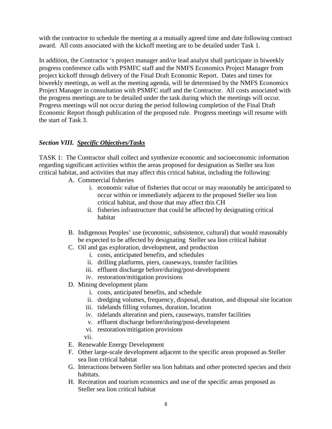with the contractor to schedule the meeting at a mutually agreed time and date following contract award. All costs associated with the kickoff meeting are to be detailed under Task 1.

In addition, the Contractor 's project manager and/or lead analyst shall participate in biweekly progress conference calls with PSMFC staff and the NMFS Economics Project Manager from project kickoff through delivery of the Final Draft Economic Report. Dates and times for biweekly meetings, as well as the meeting agenda, will be determined by the NMFS Economics Project Manager in consultation with PSMFC staff and the Contractor. All costs associated with the progress meetings are to be detailed under the task during which the meetings will occur. Progress meetings will not occur during the period following completion of the Final Draft Economic Report though publication of the proposed rule. Progress meetings will resume with the start of Task 3.

# *Section VIII. Specific Objectives/Tasks*

TASK 1: The Contractor shall collect and synthesize economic and socioeconomic information regarding significant activities within the areas proposed for designation as Steller sea lion critical habitat, and activities that may affect this critical habitat, including the following:

- A. Commercial fisheries
	- i. economic value of fisheries that occur or may reasonably be anticipated to occur within or immediately adjacent to the proposed Steller sea lion critical habitat, and those that may affect this CH
	- ii. fisheries infrastructure that could be affected by designating critical habitat
- B. Indigenous Peoples' use (economic, subsistence, cultural) that would reasonably be expected to be affected by designating Steller sea lion critical habitat
- C. Oil and gas exploration, development, and production
	- i. costs, anticipated benefits, and schedules
	- ii. drilling platforms, piers, causeways, transfer facilities
	- iii. effluent discharge before/during/post-development
	- iv. restoration/mitigation provisions
- D. Mining development plans
	- i. costs, anticipated benefits, and schedule
	- ii. dredging volumes, frequency, disposal, duration, and disposal site location
	- iii. tidelands filling volumes, duration, location
	- iv. tidelands alteration and piers, causeways, transfer facilities
	- v. effluent discharge before/during/post-development
	- vi. restoration/mitigation provisions
	- vii.
- E. Renewable Energy Development
- F. Other large-scale development adjacent to the specific areas proposed as Steller sea lion critical habitat
- G. Interactions between Steller sea lion habitats and other protected species and their habitats.
- H. Recreation and tourism economics and use of the specific areas proposed as Steller sea lion critical habitat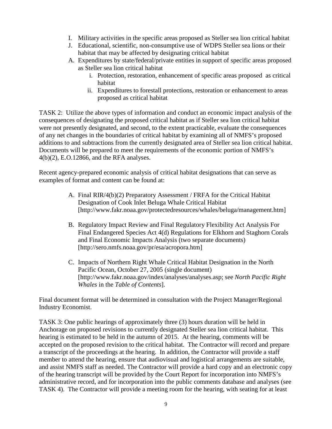- I. Military activities in the specific areas proposed as Steller sea lion critical habitat
- J. Educational, scientific, non-consumptive use of WDPS Steller sea lions or their habitat that may be affected by designating critical habitat
- A. Expenditures by state/federal/private entities in support of specific areas proposed as Steller sea lion critical habitat
	- i. Protection, restoration, enhancement of specific areas proposed as critical habitat
	- ii. Expenditures to forestall protections, restoration or enhancement to areas proposed as critical habitat

TASK 2: Utilize the above types of information and conduct an economic impact analysis of the consequences of designating the proposed critical habitat as if Steller sea lion critical habitat were not presently designated, and second, to the extent practicable, evaluate the consequences of any net changes in the boundaries of critical habitat by examining all of NMFS's proposed additions to and subtractions from the currently designated area of Steller sea lion critical habitat. Documents will be prepared to meet the requirements of the economic portion of NMFS's 4(b)(2), E.O.12866, and the RFA analyses.

Recent agency-prepared economic analysis of critical habitat designations that can serve as examples of format and content can be found at:

- A. Final RIR/4(b)(2) Preparatory Assessment / FRFA for the Critical Habitat Designation of Cook Inlet Beluga Whale Critical Habitat [http://www.fakr.noaa.gov/protectedresources/whales/beluga/management.htm]
- B. Regulatory Impact Review and Final Regulatory Flexibility Act Analysis For Final Endangered Species Act 4(d) Regulations for Elkhorn and Staghorn Corals and Final Economic Impacts Analysis (two separate documents) [http://sero.nmfs.noaa.gov/pr/esa/acropora.htm]
- C. Impacts of Northern Right Whale Critical Habitat Designation in the North Pacific Ocean, October 27, 2005 (single document) [http://www.fakr.noaa.gov/index/analyses/analyses.asp; see *North Pacific Right Whales* in the *Table of Contents*].

Final document format will be determined in consultation with the Project Manager/Regional Industry Economist.

TASK 3: One public hearings of approximately three (3) hours duration will be held in Anchorage on proposed revisions to currently designated Steller sea lion critical habitat. This hearing is estimated to be held in the autumn of 2015. At the hearing, comments will be accepted on the proposed revision to the critical habitat. The Contractor will record and prepare a transcript of the proceedings at the hearing. In addition, the Contractor will provide a staff member to attend the hearing, ensure that audiovisual and logistical arrangements are suitable, and assist NMFS staff as needed. The Contractor will provide a hard copy and an electronic copy of the hearing transcript will be provided by the Court Report for incorporation into NMFS's administrative record, and for incorporation into the public comments database and analyses (see TASK 4). The Contractor will provide a meeting room for the hearing, with seating for at least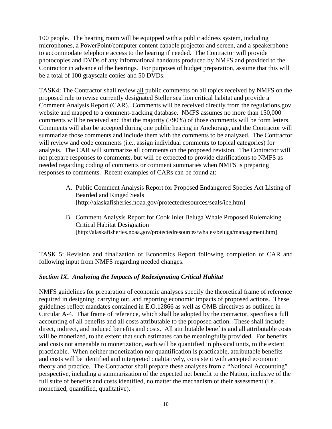100 people. The hearing room will be equipped with a public address system, including microphones, a PowerPoint/computer content capable projector and screen, and a speakerphone to accommodate telephone access to the hearing if needed. The Contractor will provide photocopies and DVDs of any informational handouts produced by NMFS and provided to the Contractor in advance of the hearings. For purposes of budget preparation, assume that this will be a total of 100 grayscale copies and 50 DVDs.

TASK4: The Contractor shall review all public comments on all topics received by NMFS on the proposed rule to revise currently designated Steller sea lion critical habitat and provide a Comment Analysis Report (CAR). Comments will be received directly from the regulations.gov website and mapped to a comment-tracking database. NMFS assumes no more than 150,000 comments will be received and that the majority (>90%) of those comments will be form letters. Comments will also be accepted during one public hearing in Anchorage, and the Contractor will summarize those comments and include them with the comments to be analyzed. The Contractor will review and code comments (i.e., assign individual comments to topical categories) for analysis. The CAR will summarize all comments on the proposed revision. The Contractor will not prepare responses to comments, but will be expected to provide clarifications to NMFS as needed regarding coding of comments or comment summaries when NMFS is preparing responses to comments. Recent examples of CARs can be found at:

- A. Public Comment Analysis Report for Proposed Endangered Species Act Listing of Bearded and Ringed Seals [http://alaskafisheries.noaa.gov/protectedresources/seals/ice,htm]
- B. Comment Analysis Report for Cook Inlet Beluga Whale Proposed Rulemaking Critical Habitat Designation [http://alaskafisheries.noaa.gov/protectedresources/whales/beluga/management.htm]

TASK 5: Revision and finalization of Economics Report following completion of CAR and following input from NMFS regarding needed changes.

# *Section IX. Analyzing the Impacts of Redesignating Critical Habitat*

NMFS guidelines for preparation of economic analyses specify the theoretical frame of reference required in designing, carrying out, and reporting economic impacts of proposed actions. These guidelines reflect mandates contained in E.O.12866 as well as OMB directives as outlined in Circular A-4. That frame of reference, which shall be adopted by the contractor, specifies a full accounting of all benefits and all costs attributable to the proposed action. These shall include direct, indirect, and induced benefits and costs. All attributable benefits and all attributable costs will be monetized, to the extent that such estimates can be meaningfully provided. For benefits and costs not amenable to monetization, each will be quantified in physical units, to the extent practicable. When neither monetization nor quantification is practicable, attributable benefits and costs will be identified and interpreted qualitatively, consistent with accepted economic theory and practice. The Contractor shall prepare these analyses from a "National Accounting" perspective, including a summarization of the expected net benefit to the Nation, inclusive of the full suite of benefits and costs identified, no matter the mechanism of their assessment (i.e., monetized, quantified, qualitative).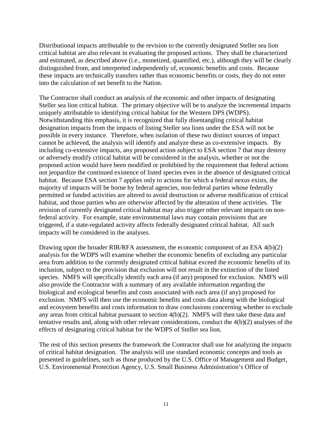Distributional impacts attributable to the revision to the currently designated Steller sea lion critical habitat are also relevant in evaluating the proposed actions. They shall be characterized and estimated, as described above (i.e., monetized, quantified, etc.), although they will be clearly distinguished from, and interpreted independently of, economic benefits and costs. Because these impacts are technically transfers rather than economic benefits or costs, they do not enter into the calculation of net benefit to the Nation.

The Contractor shall conduct an analysis of the economic and other impacts of designating Steller sea lion critical habitat. The primary objective will be to analyze the incremental impacts uniquely attributable to identifying critical habitat for the Western DPS (WDPS). Notwithstanding this emphasis, it is recognized that fully disentangling critical habitat designation impacts from the impacts of listing Steller sea lions under the ESA will not be possible in every instance. Therefore, when isolation of these two distinct sources of impact cannot be achieved, the analysis will identify and analyze these as co-extensive impacts. By including co-extensive impacts, any proposed action subject to ESA section 7 that may destroy or adversely modify critical habitat will be considered in the analysis, whether or not the proposed action would have been modified or prohibited by the requirement that federal actions not jeopardize the continued existence of listed species even in the absence of designated critical habitat. Because ESA section 7 applies only to actions for which a federal nexus exists, the majority of impacts will be borne by federal agencies, non-federal parties whose federally permitted or funded activities are altered to avoid destruction or adverse modification of critical habitat, and those parties who are otherwise affected by the alteration of these activities. The revision of currently designated critical habitat may also trigger other relevant impacts on nonfederal activity. For example, state environmental laws may contain provisions that are triggered, if a state-regulated activity affects federally designated critical habitat. All such impacts will be considered in the analyses.

Drawing upon the broader RIR/RFA assessment, the economic component of an ESA 4(b)(2) analysis for the WDPS will examine whether the economic benefits of excluding any particular area from addition to the currently designated critical habitat exceed the economic benefits of its inclusion, subject to the provision that exclusion will not result in the extinction of the listed species. NMFS will specifically identify each area (if any) proposed for exclusion. NMFS will also provide the Contractor with a summary of any available information regarding the biological and ecological benefits and costs associated with each area (if any) proposed for exclusion. NMFS will then use the economic benefits and costs data along with the biological and ecosystem benefits and costs information to draw conclusions concerning whether to exclude any areas from critical habitat pursuant to section 4(b)(2). NMFS will then take these data and tentative results and, along with other relevant considerations, conduct the 4(b)(2) analyses of the effects of designating critical habitat for the WDPS of Steller sea lion.

The rest of this section presents the framework the Contractor shall use for analyzing the impacts of critical habitat designation. The analysis will use standard economic concepts and tools as presented in guidelines, such as those produced by the U.S. Office of Management and Budget, U.S. Environmental Protection Agency, U.S. Small Business Administration's Office of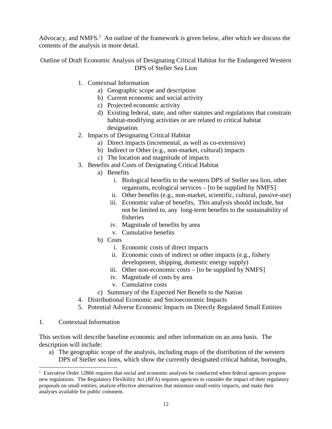Advocacy, and NMFS. $<sup>1</sup>$  An outline of the framework is given below, after which we discuss the</sup> contents of the analysis in more detail.

Outline of Draft Economic Analysis of Designating Critical Habitat for the Endangered Western DPS of Steller Sea Lion

- 1. Contextual Information
	- a) Geographic scope and description
	- b) Current economic and social activity
	- c) Projected economic activity
	- d) Existing federal, state, and other statutes and regulations that constrain habitat-modifying activities or are related to critical habitat designation.
- 2. Impacts of Designating Critical Habitat
	- a) Direct impacts (incremental, as well as co-extensive)
	- b) Indirect or Other (e.g., non-market, cultural) impacts
	- c) The location and magnitude of impacts
- 3. Benefits and Costs of Designating Critical Habitat
	- a) Benefits
		- i. Biological benefits to the western DPS of Steller sea lion, other organisms, ecological services – [to be supplied by NMFS]
		- ii. Other benefits (e.g., non-market, scientific, cultural, passive-use)
		- iii. Economic value of benefits, This analysis should include, but not be limited to, any long-term benefits to the sustainability of fisheries
		- iv. Magnitude of benefits by area
		- v. Cumulative benefits
	- b) Costs
		- i. Economic costs of direct impacts
		- ii. Economic costs of indirect or other impacts (e.g., fishery development, shipping, domestic energy supply)
		- iii. Other non-economic costs [to be supplied by NMFS]
		- iv. Magnitude of costs by area
		- v. Cumulative costs
	- c) Summary of the Expected Net Benefit to the Nation
- 4. Distributional Economic and Socioeconomic Impacts
- 5. Potential Adverse Economic Impacts on Directly Regulated Small Entities
- 1. Contextual Information

1

This section will describe baseline economic and other information on an area basis. The description will include:

a) The geographic scope of the analysis, including maps of the distribution of the western DPS of Steller sea lions, which show the currently designated critical habitat, boroughs,

<sup>&</sup>lt;sup>1</sup> Executive Order 12866 requires that social and economic analyses be conducted when federal agencies propose new regulations. The Regulatory Flexibility Act (RFA) requires agencies to consider the impact of their regulatory proposals on small entities, analyze effective alternatives that minimize small entity impacts, and make their analyses available for public comment.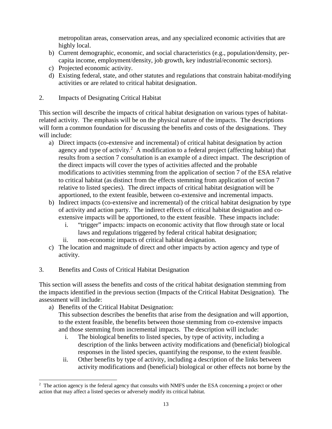metropolitan areas, conservation areas, and any specialized economic activities that are highly local.

- b) Current demographic, economic, and social characteristics (e.g., population/density, percapita income, employment/density, job growth, key industrial/economic sectors).
- c) Projected economic activity.
- d) Existing federal, state, and other statutes and regulations that constrain habitat-modifying activities or are related to critical habitat designation.
- 2. Impacts of Designating Critical Habitat

This section will describe the impacts of critical habitat designation on various types of habitatrelated activity. The emphasis will be on the physical nature of the impacts. The descriptions will form a common foundation for discussing the benefits and costs of the designations. They will include:

- a) Direct impacts (co-extensive and incremental) of critical habitat designation by action agency and type of activity.<sup>2</sup> A modification to a federal project (affecting habitat) that results from a section 7 consultation is an example of a direct impact. The description of the direct impacts will cover the types of activities affected and the probable modifications to activities stemming from the application of section 7 of the ESA relative to critical habitat (as distinct from the effects stemming from application of section 7 relative to listed species). The direct impacts of critical habitat designation will be apportioned, to the extent feasible, between co-extensive and incremental impacts.
- b) Indirect impacts (co-extensive and incremental) of the critical habitat designation by type of activity and action party. The indirect effects of critical habitat designation and co extensive impacts will be apportioned, to the extent feasible. These impacts include:
	- i. "trigger" impacts: impacts on economic activity that flow through state or local laws and regulations triggered by federal critical habitat designation;
	- ii. non-economic impacts of critical habitat designation.
- c) The location and magnitude of direct and other impacts by action agency and type of activity.
- 3. Benefits and Costs of Critical Habitat Designation

This section will assess the benefits and costs of the critical habitat designation stemming from the impacts identified in the previous section (Impacts of the Critical Habitat Designation). The assessment will include:

a) Benefits of the Critical Habitat Designation:

-

This subsection describes the benefits that arise from the designation and will apportion, to the extent feasible, the benefits between those stemming from co-extensive impacts and those stemming from incremental impacts. The description will include:

- i. The biological benefits to listed species, by type of activity, including a description of the links between activity modifications and (beneficial) biological responses in the listed species, quantifying the response, to the extent feasible.
- ii. Other benefits by type of activity, including a description of the links between activity modifications and (beneficial) biological or other effects not borne by the

<sup>&</sup>lt;sup>2</sup> The action agency is the federal agency that consults with NMFS under the ESA concerning a project or other action that may affect a listed species or adversely modify its critical habitat.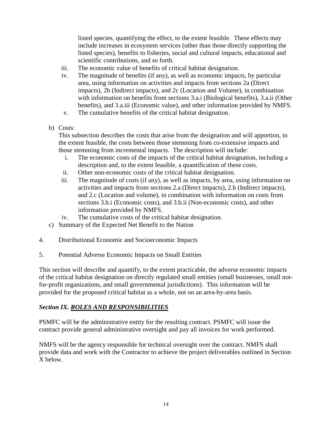listed species, quantifying the effect, to the extent feasible. These effects may include increases in ecosystem services (other than those directly supporting the listed species), benefits to fisheries, social and cultural impacts, educational and scientific contributions, and so forth.

- iii. The economic value of benefits of critical habitat designation.
- iv. The magnitude of benefits (if any), as well as economic impacts, by particular area, using information on activities and impacts from sections 2a (Direct impacts), 2b (Indirect impacts), and 2c (Location and Volume), in combination with information on benefits from sections 3.a.i (Biological benefits), 3.a.ii (Other benefits), and 3.a.iii (Economic value), and other information provided by NMFS.
- v. The cumulative benefits of the critical habitat designation.
- b) Costs:

This subsection describes the costs that arise from the designation and will apportion, to the extent feasible, the costs between those stemming from co-extensive impacts and those stemming from incremental impacts. The description will include:

- i. The economic costs of the impacts of the critical habitat designation, including a description and, to the extent feasible, a quantification of these costs.
- ii. Other non-economic costs of the critical habitat designation.
- iii. The magnitude of costs (if any), as well as impacts, by area, using information on activities and impacts from sections 2.a (Direct impacts), 2.b (Indirect impacts), and 2.c (Location and volume), in combination with information on costs from sections 3.b.i (Economic costs), and 3.b.ii (Non-economic costs), and other information provided by NMFS.
- iv. The cumulative costs of the critical habitat designation.
- c) Summary of the Expected Net Benefit to the Nation
- 4. Distributional Economic and Socioeconomic Impacts
- 5. Potential Adverse Economic Impacts on Small Entities

This section will describe and quantify, to the extent practicable, the adverse economic impacts of the critical habitat designation on directly regulated small entities (small businesses, small notfor-profit organizations, and small governmental jurisdictions). This information will be provided for the proposed critical habitat as a whole, not on an area-by-area basis.

# *Section IX. ROLES AND RESPONSIBILITIES*

PSMFC will be the administrative entity for the resulting contract. PSMFC will issue the contract provide general administrative oversight and pay all invoices for work performed.

NMFS will be the agency responsible for technical oversight over the contract. NMFS shall provide data and work with the Contractor to achieve the project deliverables outlined in Section X below.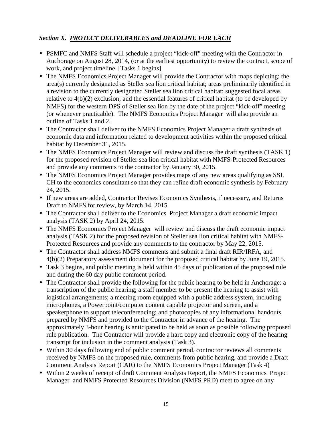# *Section X. PROJECT DELIVERABLES and DEADLINE FOR EACH*

- PSMFC and NMFS Staff will schedule a project "kick-off" meeting with the Contractor in Anchorage on August 28, 2014, (or at the earliest opportunity) to review the contract, scope of work, and project timeline. [Tasks 1 begins]
- The NMFS Economics Project Manager will provide the Contractor with maps depicting: the area(s) currently designated as Steller sea lion critical habitat; areas preliminarily identified in a revision to the currently designated Steller sea lion critical habitat; suggested focal areas relative to 4(b)(2) exclusion; and the essential features of critical habitat (to be developed by NMFS) for the western DPS of Steller sea lion by the date of the project "kick-off" meeting (or whenever practicable). The NMFS Economics Project Manager will also provide an outline of Tasks 1 and 2.
- The Contractor shall deliver to the NMFS Economics Project Manager a draft synthesis of economic data and information related to development activities within the proposed critical habitat by December 31, 2015.
- The NMFS Economics Project Manager will review and discuss the draft synthesis (TASK 1) for the proposed revision of Steller sea lion critical habitat with NMFS-Protected Resources and provide any comments to the contractor by January 30, 2015.
- The NMFS Economics Project Manager provides maps of any new areas qualifying as SSL CH to the economics consultant so that they can refine draft economic synthesis by February 24, 2015.
- If new areas are added, Contractor Revises Economics Synthesis, if necessary, and Returns Draft to NMFS for review, by March 14, 2015.
- The Contractor shall deliver to the Economics Project Manager a draft economic impact analysis (TASK 2) by April 24, 2015.
- The NMFS Economics Project Manager will review and discuss the draft economic impact analysis (TASK 2) for the proposed revision of Steller sea lion critical habitat with NMFS-Protected Resources and provide any comments to the contractor by May 22, 2015.
- The Contractor shall address NMFS comments and submit a final draft RIR/IRFA, and 4(b)(2) Preparatory assessment document for the proposed critical habitat by June 19, 2015.
- Task 3 begins, and public meeting is held within 45 days of publication of the proposed rule and during the 60 day public comment period.
- The Contractor shall provide the following for the public hearing to be held in Anchorage: a transcription of the public hearing; a staff member to be present the hearing to assist with logistical arrangements; a meeting room equipped with a public address system, including microphones, a Powerpoint/computer content capable projector and screen, and a speakerphone to support teleconferencing; and photocopies of any informational handouts prepared by NMFS and provided to the Contractor in advance of the hearing. The approximately 3-hour hearing is anticipated to be held as soon as possible following proposed rule publication. The Contractor will provide a hard copy and electronic copy of the hearing transcript for inclusion in the comment analysis (Task 3).
- Within 30 days following end of public comment period, contractor reviews all comments received by NMFS on the proposed rule, comments from public hearing, and provide a Draft Comment Analysis Report (CAR) to the NMFS Economics Project Manager (Task 4)
- Within 2 weeks of receipt of draft Comment Analysis Report, the NMFS Economics Project Manager and NMFS Protected Resources Division (NMFS PRD) meet to agree on any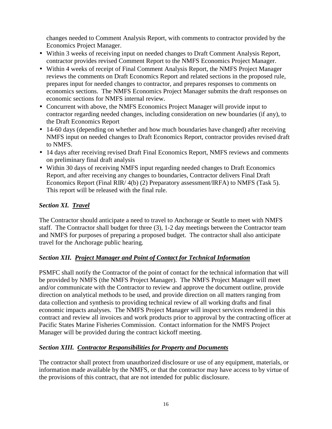changes needed to Comment Analysis Report, with comments to contractor provided by the Economics Project Manager.

- Within 3 weeks of receiving input on needed changes to Draft Comment Analysis Report, contractor provides revised Comment Report to the NMFS Economics Project Manager.
- Within 4 weeks of receipt of Final Comment Analysis Report, the NMFS Project Manager reviews the comments on Draft Economics Report and related sections in the proposed rule, prepares input for needed changes to contractor, and prepares responses to comments on economics sections. The NMFS Economics Project Manager submits the draft responses on economic sections for NMFS internal review.
- Concurrent with above, the NMFS Economics Project Manager will provide input to contractor regarding needed changes, including consideration on new boundaries (if any), to the Draft Economics Report
- 14-60 days (depending on whether and how much boundaries have changed) after receiving NMFS input on needed changes to Draft Economics Report, contractor provides revised draft to NMFS.
- 14 days after receiving revised Draft Final Economics Report, NMFS reviews and comments on preliminary final draft analysis
- Within 30 days of receiving NMFS input regarding needed changes to Draft Economics Report, and after receiving any changes to boundaries, Contractor delivers Final Draft Economics Report (Final RIR/ 4(b) (2) Preparatory assessment/IRFA) to NMFS (Task 5). This report will be released with the final rule.

# *Section XI. Travel*

The Contractor should anticipate a need to travel to Anchorage or Seattle to meet with NMFS staff. The Contractor shall budget for three (3), 1-2 day meetings between the Contractor team and NMFS for purposes of preparing a proposed budget. The contractor shall also anticipate travel for the Anchorage public hearing.

# *Section XII. Project Manager and Point of Contact for Technical Information*

PSMFC shall notify the Contractor of the point of contact for the technical information that will be provided by NMFS (the NMFS Project Manager). The NMFS Project Manager will meet and/or communicate with the Contractor to review and approve the document outline, provide direction on analytical methods to be used, and provide direction on all matters ranging from data collection and synthesis to providing technical review of all working drafts and final economic impacts analyses. The NMFS Project Manager will inspect services rendered in this contract and review all invoices and work products prior to approval by the contracting officer at Pacific States Marine Fisheries Commission. Contact information for the NMFS Project Manager will be provided during the contract kickoff meeting.

# *Section XIII. Contractor Responsibilities for Property and Documents*

The contractor shall protect from unauthorized disclosure or use of any equipment, materials, or information made available by the NMFS, or that the contractor may have access to by virtue of the provisions of this contract, that are not intended for public disclosure.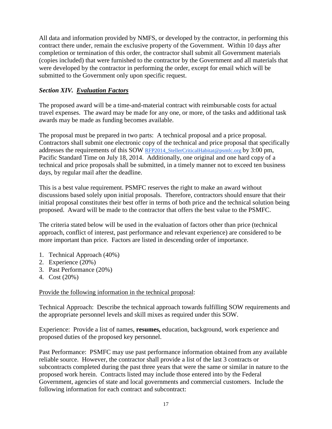All data and information provided by NMFS, or developed by the contractor, in performing this contract there under, remain the exclusive property of the Government. Within 10 days after completion or termination of this order, the contractor shall submit all Government materials (copies included) that were furnished to the contractor by the Government and all materials that were developed by the contractor in performing the order, except for email which will be submitted to the Government only upon specific request.

# *Section XIV. Evaluation Factors*

The proposed award will be a time-and-material contract with reimbursable costs for actual travel expenses. The award may be made for any one, or more, of the tasks and additional task awards may be made as funding becomes available.

The proposal must be prepared in two parts: A technical proposal and a price proposal. Contractors shall submit one electronic copy of the technical and price proposal that specifically addresses the requirements of this SOW RFP2014 StellerCriticalHabitat@psmfc.org by 3:00 pm, Pacific Standard Time on July 18, 2014. Additionally, one original and one hard copy of a technical and price proposals shall be submitted, in a timely manner not to exceed ten business days, by regular mail after the deadline.

This is a best value requirement. PSMFC reserves the right to make an award without discussions based solely upon initial proposals. Therefore, contractors should ensure that their initial proposal constitutes their best offer in terms of both price and the technical solution being proposed. Award will be made to the contractor that offers the best value to the PSMFC.

The criteria stated below will be used in the evaluation of factors other than price (technical approach, conflict of interest, past performance and relevant experience) are considered to be more important than price. Factors are listed in descending order of importance.

- 1. Technical Approach (40%)
- 2. Experience (20%)
- 3. Past Performance (20%)
- 4. Cost (20%)

# Provide the following information in the technical proposal:

Technical Approach: Describe the technical approach towards fulfilling SOW requirements and the appropriate personnel levels and skill mixes as required under this SOW.

Experience: Provide a list of names, **resumes,** education, background, work experience and proposed duties of the proposed key personnel.

Past Performance: PSMFC may use past performance information obtained from any available reliable source. However, the contractor shall provide a list of the last 3 contracts or subcontracts completed during the past three years that were the same or similar in nature to the proposed work herein. Contracts listed may include those entered into by the Federal Government, agencies of state and local governments and commercial customers. Include the following information for each contract and subcontract: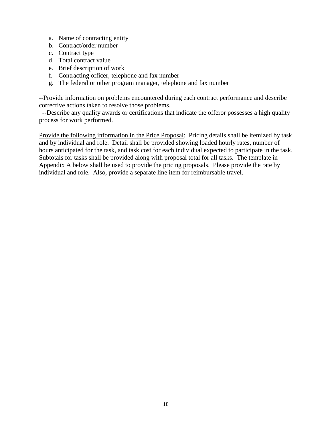- a. Name of contracting entity
- b. Contract/order number
- c. Contract type
- d. Total contract value
- e. Brief description of work
- f. Contracting officer, telephone and fax number
- g. The federal or other program manager, telephone and fax number

--Provide information on problems encountered during each contract performance and describe corrective actions taken to resolve those problems.

 --Describe any quality awards or certifications that indicate the offeror possesses a high quality process for work performed.

Provide the following information in the Price Proposal: Pricing details shall be itemized by task and by individual and role. Detail shall be provided showing loaded hourly rates, number of hours anticipated for the task, and task cost for each individual expected to participate in the task. Subtotals for tasks shall be provided along with proposal total for all tasks. The template in Appendix A below shall be used to provide the pricing proposals. Please provide the rate by individual and role. Also, provide a separate line item for reimbursable travel.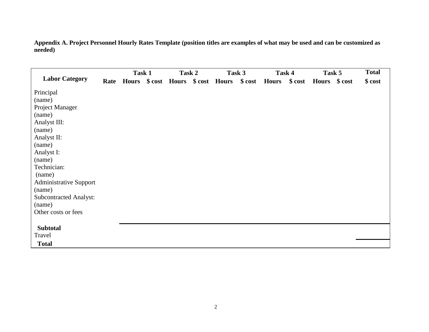**Appendix A. Project Personnel Hourly Rates Template (position titles are examples of what may be used and can be customized as needed)** 

|                               |      | Task 1 | Task 2 |                                   | Task 3   |               | Task 4 | Task 5        | <b>Total</b> |
|-------------------------------|------|--------|--------|-----------------------------------|----------|---------------|--------|---------------|--------------|
| <b>Labor Category</b>         | Rate |        |        | Hours \$ cost Hours \$ cost Hours | $\$ cost | Hours \$ cost |        | Hours \$ cost | $\$ cost     |
| Principal                     |      |        |        |                                   |          |               |        |               |              |
| (name)                        |      |        |        |                                   |          |               |        |               |              |
| Project Manager               |      |        |        |                                   |          |               |        |               |              |
| (name)                        |      |        |        |                                   |          |               |        |               |              |
| Analyst III:                  |      |        |        |                                   |          |               |        |               |              |
| (name)                        |      |        |        |                                   |          |               |        |               |              |
| Analyst II:                   |      |        |        |                                   |          |               |        |               |              |
| (name)                        |      |        |        |                                   |          |               |        |               |              |
| Analyst I:                    |      |        |        |                                   |          |               |        |               |              |
| (name)                        |      |        |        |                                   |          |               |        |               |              |
| Technician:                   |      |        |        |                                   |          |               |        |               |              |
| (name)                        |      |        |        |                                   |          |               |        |               |              |
| <b>Administrative Support</b> |      |        |        |                                   |          |               |        |               |              |
| (name)                        |      |        |        |                                   |          |               |        |               |              |
| <b>Subcontracted Analyst:</b> |      |        |        |                                   |          |               |        |               |              |
| (name)                        |      |        |        |                                   |          |               |        |               |              |
| Other costs or fees           |      |        |        |                                   |          |               |        |               |              |
|                               |      |        |        |                                   |          |               |        |               |              |
| <b>Subtotal</b>               |      |        |        |                                   |          |               |        |               |              |
| Travel                        |      |        |        |                                   |          |               |        |               |              |
| <b>Total</b>                  |      |        |        |                                   |          |               |        |               |              |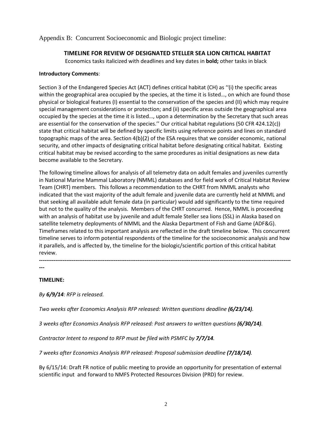Appendix B: Concurrent Socioeconomic and Biologic project timeline:

### TIMELINE FOR REVIEW OF DESIGNATED STELLER SEA LION CRITICAL HABITAT

Economics tasks italicized with deadlines and key dates in bold; other tasks in black

#### Introductory Comments:

Section 3 of the Endangered Species Act (ACT) defines critical habitat (CH) as ''(i) the specific areas within the geographical area occupied by the species, at the time it is listed..., on which are found those physical or biological features (I) essential to the conservation of the species and (II) which may require special management considerations or protection; and (ii) specific areas outside the geographical area occupied by the species at the time it is listed…, upon a determination by the Secretary that such areas are essential for the conservation of the species.'' Our critical habitat regulations (50 CFR 424.12(c)) state that critical habitat will be defined by specific limits using reference points and lines on standard topographic maps of the area. Section 4(b)(2) of the ESA requires that we consider economic, national security, and other impacts of designating critical habitat before designating critical habitat. Existing critical habitat may be revised according to the same procedures as initial designations as new data become available to the Secretary.

The following timeline allows for analysis of all telemetry data on adult females and juveniles currently in National Marine Mammal Laboratory (NMML) databases and for field work of Critical Habitat Review Team (CHRT) members. This follows a recommendation to the CHRT from NMML analysts who indicated that the vast majority of the adult female and juvenile data are currently held at NMML and that seeking all available adult female data (in particular) would add significantly to the time required but not to the quality of the analysis. Members of the CHRT concurred. Hence, NMML is proceeding with an analysis of habitat use by juvenile and adult female Steller sea lions (SSL) in Alaska based on satellite telemetry deployments of NMML and the Alaska Department of Fish and Game (ADF&G). Timeframes related to this important analysis are reflected in the draft timeline below. This concurrent timeline serves to inform potential respondents of the timeline for the socioeconomic analysis and how it parallels, and is affected by, the timeline for the biologic/scientific portion of this critical habitat review.

------------------------------------------------------------------------------------------------------------------------------------------ ---

### TIMELINE:

By 6/9/14: RFP is released.

Two weeks after Economics Analysis RFP released: Written questions deadline (6/23/14).

3 weeks after Economics Analysis RFP released: Post answers to written questions (6/30/14).

Contractor Intent to respond to RFP must be filed with PSMFC by 7/7/14.

7 weeks after Economics Analysis RFP released: Proposal submission deadline (7/18/14).

By 6/15/14: Draft FR notice of public meeting to provide an opportunity for presentation of external scientific input and forward to NMFS Protected Resources Division (PRD) for review.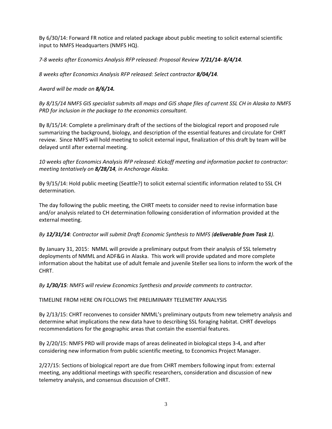By 6/30/14: Forward FR notice and related package about public meeting to solicit external scientific input to NMFS Headquarters (NMFS HQ).

7-8 weeks after Economics Analysis RFP released: Proposal Review 7/21/14- 8/4/14.

8 weeks after Economics Analysis RFP released: Select contractor 8/04/14.

Award will be made on 8/6/14.

By 8/15/14 NMFS GIS specialist submits all maps and GIS shape files of current SSL CH in Alaska to NMFS PRD for inclusion in the package to the economics consultant.

By 8/15/14: Complete a preliminary draft of the sections of the biological report and proposed rule summarizing the background, biology, and description of the essential features and circulate for CHRT review. Since NMFS will hold meeting to solicit external input, finalization of this draft by team will be delayed until after external meeting.

10 weeks after Economics Analysis RFP released: Kickoff meeting and information packet to contractor: meeting tentatively on 8/28/14, in Anchorage Alaska.

By 9/15/14: Hold public meeting (Seattle?) to solicit external scientific information related to SSL CH determination.

The day following the public meeting, the CHRT meets to consider need to revise information base and/or analysis related to CH determination following consideration of information provided at the external meeting.

#### By 12/31/14: Contractor will submit Draft Economic Synthesis to NMFS (deliverable from Task 1).

By January 31, 2015: NMML will provide a preliminary output from their analysis of SSL telemetry deployments of NMML and ADF&G in Alaska. This work will provide updated and more complete information about the habitat use of adult female and juvenile Steller sea lions to inform the work of the CHRT.

By 1/30/15: NMFS will review Economics Synthesis and provide comments to contractor.

TIMELINE FROM HERE ON FOLLOWS THE PRELIMINARY TELEMETRY ANALYSIS

By 2/13/15: CHRT reconvenes to consider NMML's preliminary outputs from new telemetry analysis and determine what implications the new data have to describing SSL foraging habitat. CHRT develops recommendations for the geographic areas that contain the essential features.

By 2/20/15: NMFS PRD will provide maps of areas delineated in biological steps 3-4, and after considering new information from public scientific meeting, to Economics Project Manager.

2/27/15: Sections of biological report are due from CHRT members following input from: external meeting, any additional meetings with specific researchers, consideration and discussion of new telemetry analysis, and consensus discussion of CHRT.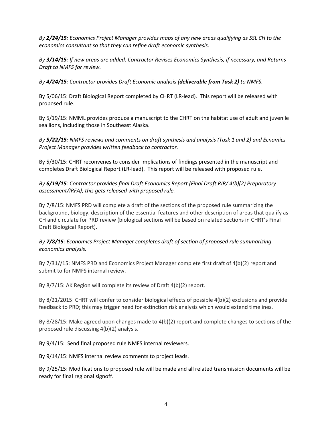By 2/24/15: Economics Project Manager provides maps of any new areas qualifying as SSL CH to the economics consultant so that they can refine draft economic synthesis.

By 3/14/15: If new areas are added, Contractor Revises Economics Synthesis, if necessary, and Returns Draft to NMFS for review.

By 4/24/15: Contractor provides Draft Economic analysis (deliverable from Task 2) to NMFS.

By 5/06/15: Draft Biological Report completed by CHRT (LR-lead). This report will be released with proposed rule.

By 5/19/15: NMML provides produce a manuscript to the CHRT on the habitat use of adult and juvenile sea lions, including those in Southeast Alaska.

By 5/22/15: NMFS reviews and comments on draft synthesis and analysis (Task 1 and 2) and Ecnomics Project Manager provides written feedback to contractor.

By 5/30/15: CHRT reconvenes to consider implications of findings presented in the manuscript and completes Draft Biological Report (LR-lead). This report will be released with proposed rule.

By 6/19/15: Contractor provides final Draft Economics Report (Final Draft RIR/ 4(b)(2) Preparatory assessment/IRFA); this gets released with proposed rule.

By 7/8/15: NMFS PRD will complete a draft of the sections of the proposed rule summarizing the background, biology, description of the essential features and other description of areas that qualify as CH and circulate for PRD review (biological sections will be based on related sections in CHRT's Final Draft Biological Report).

By 7/8/15: Economics Project Manager completes draft of section of proposed rule summarizing economics analysis.

By 7/31//15: NMFS PRD and Economics Project Manager complete first draft of 4(b)(2) report and submit to for NMFS internal review.

By 8/7/15: AK Region will complete its review of Draft 4(b)(2) report.

By 8/21/2015: CHRT will confer to consider biological effects of possible 4(b)(2) exclusions and provide feedback to PRD; this may trigger need for extinction risk analysis which would extend timelines.

By 8/28/15: Make agreed upon changes made to 4(b)(2) report and complete changes to sections of the proposed rule discussing 4(b)(2) analysis.

By 9/4/15: Send final proposed rule NMFS internal reviewers.

By 9/14/15: NMFS internal review comments to project leads.

By 9/25/15: Modifications to proposed rule will be made and all related transmission documents will be ready for final regional signoff.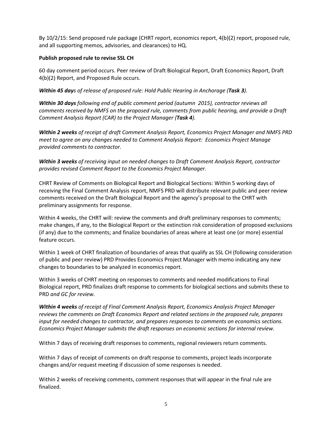By 10/2/15: Send proposed rule package (CHRT report, economics report, 4(b)(2) report, proposed rule, and all supporting memos, advisories, and clearances) to HQ.

#### Publish proposed rule to revise SSL CH

60 day comment period occurs. Peer review of Draft Biological Report, Draft Economics Report, Draft 4(b)(2) Report, and Proposed Rule occurs.

Within 45 days of release of proposed rule: Hold Public Hearing in Anchorage (Task 3).

Within 30 days following end of public comment period (autumn 2015), contractor reviews all comments received by NMFS on the proposed rule, comments from public hearing, and provide a Draft Comment Analysis Report (CAR) to the Project Manager (Task 4).

Within 2 weeks of receipt of draft Comment Analysis Report, Economics Project Manager and NMFS PRD meet to agree on any changes needed to Comment Analysis Report: Economics Project Manage provided comments to contractor.

Within 3 weeks of receiving input on needed changes to Draft Comment Analysis Report, contractor provides revised Comment Report to the Economics Project Manager.

CHRT Review of Comments on Biological Report and Biological Sections: Within 5 working days of receiving the Final Comment Analysis report, NMFS PRD will distribute relevant public and peer review comments received on the Draft Biological Report and the agency's proposal to the CHRT with preliminary assignments for response.

Within 4 weeks, the CHRT will: review the comments and draft preliminary responses to comments; make changes, if any, to the Biological Report or the extinction risk consideration of proposed exclusions (if any) due to the comments; and finalize boundaries of areas where at least one (or more) essential feature occurs.

Within 1 week of CHRT finalization of boundaries of areas that qualify as SSL CH (following consideration of public and peer review) PRD Provides Economics Project Manager with memo indicating any new changes to boundaries to be analyzed in economics report.

Within 3 weeks of CHRT meeting on responses to comments and needed modifications to Final Biological report, PRD finalizes draft response to comments for biological sections and submits these to PRD and GC for review.

Within 4 weeks of receipt of Final Comment Analysis Report, Economics Analysis Project Manager reviews the comments on Draft Economics Report and related sections in the proposed rule, prepares input for needed changes to contractor, and prepares responses to comments on economics sections. Economics Project Manager submits the draft responses on economic sections for internal review.

Within 7 days of receiving draft responses to comments, regional reviewers return comments.

Within 7 days of receipt of comments on draft response to comments, project leads incorporate changes and/or request meeting if discussion of some responses is needed.

Within 2 weeks of receiving comments, comment responses that will appear in the final rule are finalized.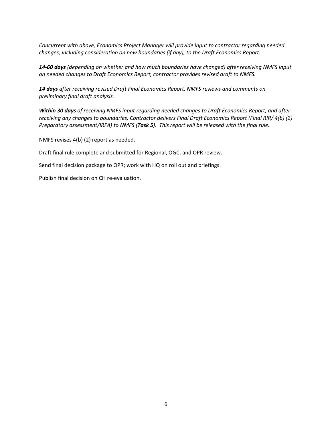Concurrent with above, Economics Project Manager will provide input to contractor regarding needed changes, including consideration on new boundaries (if any), to the Draft Economics Report.

14-60 days (depending on whether and how much boundaries have changed) after receiving NMFS input on needed changes to Draft Economics Report, contractor provides revised draft to NMFS.

14 days after receiving revised Draft Final Economics Report, NMFS reviews and comments on preliminary final draft analysis.

Within 30 days of receiving NMFS input regarding needed changes to Draft Economics Report, and after receiving any changes to boundaries, Contractor delivers Final Draft Economics Report (Final RIR/ 4(b) (2) Preparatory assessment/IRFA) to NMFS (Task 5). This report will be released with the final rule.

NMFS revises 4(b) (2) report as needed.

Draft final rule complete and submitted for Regional, OGC, and OPR review.

Send final decision package to OPR; work with HQ on roll out and briefings.

Publish final decision on CH re-evaluation.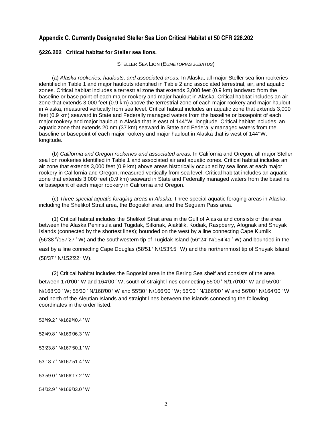#### **Appendix C. Currently Designated Steller Sea Lion Critical Habitat at 50 CFR 226.202**

#### **§226.202 Critical habitat for Steller sea lions.**

#### STELLER SEA LION (EUMETOPIAS JUBATUS)

(a) Alaska rookeries, haulouts, and associated areas. In Alaska, all major Steller sea lion rookeries identified in Table 1 and major haulouts identified in Table 2 and associated terrestrial, air, and aquatic zones. Critical habitat includes a terrestrial zone that extends 3,000 feet (0.9 km) landward from the baseline or base point of each major rookery and major haulout in Alaska. Critical habitat includes an air zone that extends 3,000 feet (0.9 km) above the terrestrial zone of each major rookery and major haulout in Alaska, measured vertically from sea level. Critical habitat includes an aquatic zone that extends 3,000 feet (0.9 km) seaward in State and Federally managed waters from the baseline or basepoint of each major rookery and major haulout in Alaska that is east of 144° W. longitude. Critical habitat includes an aquatic zone that extends 20 nm (37 km) seaward in State and Federally managed waters from the baseline or basepoint of each major rookery and major haulout in Alaska that is west of 144° W. longitude.

(b) California and Oregon rookeries and associated areas. In California and Oregon, all major Steller sea lion rookeries identified in Table 1 and associated air and aquatic zones. Critical habitat includes an air zone that extends 3,000 feet (0.9 km) above areas historically occupied by sea lions at each major rookery in California and Oregon, measured vertically from sea level. Critical habitat includes an aquatic zone that extends 3,000 feet (0.9 km) seaward in State and Federally managed waters from the baseline or basepoint of each major rookery in California and Oregon.

(c) Three special aquatic foraging areas in Alaska. Three special aquatic foraging areas in Alaska, including the Shelikof Strait area, the Bogoslof area, and the Seguam Pass area.

(1) Critical habitat includes the Shelikof Strait area in the Gulf of Alaska and consists of the area between the Alaska Peninsula and Tugidak, Sitkinak, Aiaktilik, Kodiak, Raspberry, Afognak and Shuyak Islands (connected by the shortest lines); bounded on the west by a line connecting Cape Kumlik (56°38 ″/157°27 ′ W) and the southwestern tip of Tugidak Island (56°24′ N/154°41 ′ W) and bounded in the east by a line connecting Cape Douglas (58°51 ' N/153°15' W) and the northernmost tip of Shuyak Island (58°37 ′ N/152°22 ′ W).

(2) Critical habitat includes the Bogoslof area in the Bering Sea shelf and consists of the area between 170°00' W and 164°00' W, south of straight lines connecting 55°00' N/170°00' W and 55°00' N/168°00 ′ W; 55°30 ′ N/168°00 ′ W and 55°30 ′ N/166°00 ′ W; 56°00 ′ N/166°00 ′ W and 56°00 ′ N/164°00 ′ W and north of the Aleutian Islands and straight lines between the islands connecting the following coordinates in the order listed:

52°49.2 ′ N/169°40.4 ′ W 52°49.8 ′ N/169°06.3 ′ W 53°23.8 ′ N/167°50.1 ′ W 53°18.7 ′ N/167°51.4 ′ W 53°59.0 ′ N/166°17.2 ′ W

54°02.9 ′ N/166°03.0 ′ W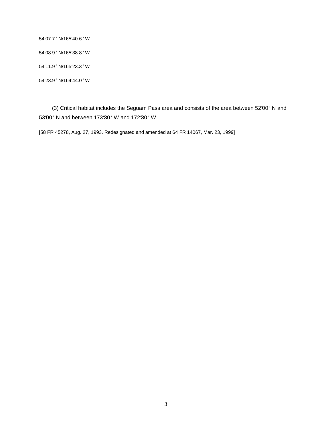54°07.7 ′ N/165°40.6 ′ W 54°08.9 ′ N/165°38.8 ′ W 54°11.9 ′ N/165°23.3 ′ W 54°23.9 ′ N/164°44.0 ′ W

(3) Critical habitat includes the Seguam Pass area and consists of the area between 52°00 ′ N and 53°00 ′ N and between 173°30 ′ W and 172°30 ′ W.

[58 FR 45278, Aug. 27, 1993. Redesignated and amended at 64 FR 14067, Mar. 23, 1999]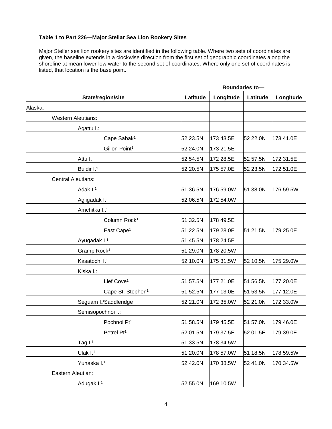#### **Table 1 to Part 226—Major Stellar Sea Lion Rookery Sites**

Major Steller sea lion rookery sites are identified in the following table. Where two sets of coordinates are given, the baseline extends in a clockwise direction from the first set of geographic coordinates along the shoreline at mean lower-low water to the second set of coordinates. Where only one set of coordinates is listed, that location is the base point.

|                                    |          |           | Boundaries to- |           |
|------------------------------------|----------|-----------|----------------|-----------|
| State/region/site                  | Latitude | Longitude | Latitude       | Longitude |
| Alaska:                            |          |           |                |           |
| <b>Western Aleutians:</b>          |          |           |                |           |
| Agattu I.:                         |          |           |                |           |
| Cape Sabak <sup>1</sup>            | 52 23.5N | 173 43.5E | 52 22.0N       | 173 41.0E |
| Gillon Point <sup>1</sup>          | 52 24.0N | 173 21.5E |                |           |
| Attu I. <sup>1</sup>               | 52 54.5N | 172 28.5E | 52 57.5N       | 172 31.5E |
| Buldir I. <sup>1</sup>             | 52 20.5N | 175 57.0E | 52 23.5N       | 172 51.0E |
| <b>Central Aleutians:</b>          |          |           |                |           |
| Adak I. <sup>1</sup>               | 51 36.5N | 176 59.0W | 51 38.0N       | 176 59.5W |
| Agligadak I. <sup>1</sup>          | 52 06.5N | 172 54.0W |                |           |
| Amchitka I.:1                      |          |           |                |           |
| Column Rock <sup>1</sup>           | 51 32.5N | 178 49.5E |                |           |
| East Cape <sup>1</sup>             | 51 22.5N | 179 28.0E | 51 21.5N       | 179 25.0E |
| Ayugadak I. <sup>1</sup>           | 51 45.5N | 178 24.5E |                |           |
| Gramp Rock <sup>1</sup>            | 51 29.0N | 178 20.5W |                |           |
| Kasatochi I. <sup>1</sup>          | 52 10.0N | 175 31.5W | 52 10.5N       | 175 29.0W |
| Kiska I.:                          |          |           |                |           |
| Lief Cove <sup>1</sup>             | 51 57.5N | 177 21.0E | 51 56.5N       | 177 20.0E |
| Cape St. Stephen <sup>1</sup>      | 51 52.5N | 177 13.0E | 51 53.5N       | 177 12.0E |
| Seguam I./Saddleridge <sup>1</sup> | 52 21.0N | 172 35.0W | 52 21.0N       | 172 33.0W |
| Semisopochnoi I.:                  |          |           |                |           |
| Pochnoi Pt1                        | 51 58.5N | 179 45.5E | 51 57.0N       | 179 46.0E |
| Petrel Pt <sup>1</sup>             | 52 01.5N | 179 37.5E | 52 01.5E       | 179 39.0E |
| Tag $I1$                           | 51 33.5N | 178 34.5W |                |           |
| Ulak $I1$                          | 51 20.0N | 178 57.0W | 51 18.5N       | 178 59.5W |
| Yunaska I.1                        | 52 42.0N | 170 38.5W | 52 41.0N       | 170 34.5W |
| Eastern Aleutian:                  |          |           |                |           |
| Adugak I.1                         | 52 55.0N | 169 10.5W |                |           |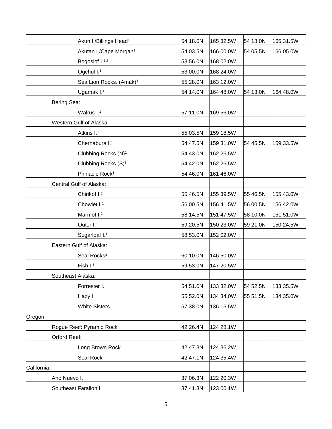| Akun I./Billings Head <sup>1</sup>  | 54 18.0N | 165 32.5W | 54 18.0N | 165 31.5W |
|-------------------------------------|----------|-----------|----------|-----------|
| Akutan I./Cape Morgan <sup>1</sup>  | 54 03.5N | 166 00.0W | 54 05.5N | 166 05.0W |
| Bogoslof I.12                       | 53 56.0N | 168 02.0W |          |           |
| Ogchul I.1                          | 53 00.0N | 168 24.0W |          |           |
| Sea Lion Rocks. (Amak) <sup>1</sup> | 55 28.0N | 163 12.0W |          |           |
| Ugamak I.1                          | 54 14.0N | 164 48.0W | 54 13.0N | 164 48.0W |
| Bering Sea:                         |          |           |          |           |
| Walrus I.1                          | 57 11.0N | 169 56.0W |          |           |
| Western Gulf of Alaska:             |          |           |          |           |
| Atkins I. <sup>1</sup>              | 55 03.5N | 159 18.5W |          |           |
| Chernabura I. <sup>1</sup>          | 54 47.5N | 159 31.0W | 54 45.5N | 159 33.5W |
| Clubbing Rocks (N) <sup>1</sup>     | 54 43.0N | 162 26.5W |          |           |
| Clubbing Rocks (S) <sup>1</sup>     | 54 42.0N | 162 26.5W |          |           |
| Pinnacle Rock <sup>1</sup>          | 54 46.0N | 161 46.0W |          |           |
| Central Gulf of Alaska:             |          |           |          |           |
| Chirikof I.1                        | 55 46.5N | 155 39.5W | 55 46.5N | 155 43.0W |
| Chowiet I.1                         | 56 00.5N | 156 41.5W | 56 00.5N | 156 42.0W |
| Marmot I.1                          | 58 14.5N | 151 47.5W | 58 10.0N | 151 51.0W |
| Outer I.1                           | 59 20.5N | 150 23.0W | 59 21.0N | 150 24.5W |
| Sugarloaf I.1                       | 58 53.0N | 152 02.0W |          |           |
| Eastern Gulf of Alaska:             |          |           |          |           |
| Seal Rocks <sup>1</sup>             | 60 10.0N | 146 50.0W |          |           |
| Fish I.1                            | 59 53.0N | 147 20.5W |          |           |
| Southeast Alaska:                   |          |           |          |           |
| Forrester I.                        | 54 51.0N | 133 32.0W | 54 52.5N | 133 35.5W |
| Hazy I                              | 55 52.0N | 134 34.0W | 55 51.5N | 134 35.0W |
| <b>White Sisters</b>                | 57 38.0N | 136 15.5W |          |           |
| Oregon:                             |          |           |          |           |
| Rogue Reef: Pyramid Rock            | 42 26.4N | 124 28.1W |          |           |
| Orford Reef:                        |          |           |          |           |
| Long Brown Rock                     | 42 47.3N | 124 36.2W |          |           |
| Seal Rock                           | 42 47.1N | 124 35.4W |          |           |
| California:                         |          |           |          |           |
| Ano Nuevo I.                        | 37 06.3N | 122 20.3W |          |           |
| Southeast Farallon I.               | 37 41.3N | 123 00.1W |          |           |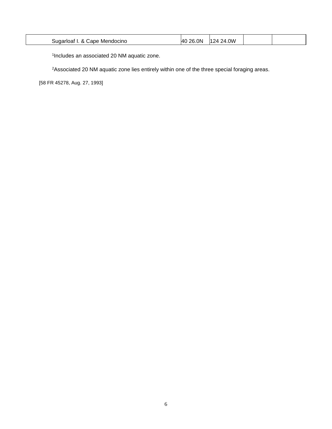| <b>OW</b><br>.ON<br>າເ<br>' Ar<br>14.1<br>sugar'<br>Mendocino<br>ΟД<br>⊿י<br>.<br>∴ane<br>оаг<br>$\sim$<br>. |  |  |  |  |  |
|--------------------------------------------------------------------------------------------------------------|--|--|--|--|--|
|--------------------------------------------------------------------------------------------------------------|--|--|--|--|--|

1 Includes an associated 20 NM aquatic zone.

<sup>2</sup>Associated 20 NM aquatic zone lies entirely within one of the three special foraging areas.

[58 FR 45278, Aug. 27, 1993]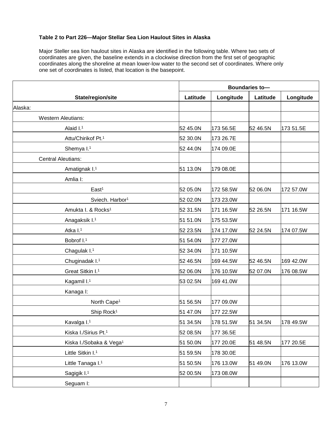#### **Table 2 to Part 226—Major Stellar Sea Lion Haulout Sites in Alaska**

Major Steller sea lion haulout sites in Alaska are identified in the following table. Where two sets of coordinates are given, the baseline extends in a clockwise direction from the first set of geographic coordinates along the shoreline at mean lower-low water to the second set of coordinates. Where only one set of coordinates is listed, that location is the basepoint.

|                                     |          |           | Boundaries to- |           |
|-------------------------------------|----------|-----------|----------------|-----------|
| State/region/site                   | Latitude | Longitude | Latitude       | Longitude |
| Alaska:                             |          |           |                |           |
| <b>Western Aleutians:</b>           |          |           |                |           |
| Alaid I. <sup>1</sup>               | 52 45.0N | 173 56.5E | 52 46.5N       | 173 51.5E |
| Attu/Chirikof Pt.1                  | 52 30.0N | 173 26.7E |                |           |
| Shemya I.1                          | 52 44.0N | 174 09.0E |                |           |
| <b>Central Aleutians:</b>           |          |           |                |           |
| Amatignak I. <sup>1</sup>           | 51 13.0N | 179 08.0E |                |           |
| Amlia I:                            |          |           |                |           |
| East <sup>1</sup>                   | 52 05.0N | 172 58.5W | 52 06.0N       | 172 57.0W |
| Sviech. Harbor <sup>1</sup>         | 52 02.0N | 173 23.0W |                |           |
| Amukta I. & Rocks <sup>1</sup>      | 52 31.5N | 171 16.5W | 52 26.5N       | 171 16.5W |
| Anagaksik I. <sup>1</sup>           | 51 51.0N | 175 53.5W |                |           |
| Atka I.1                            | 52 23.5N | 174 17.0W | 52 24.5N       | 174 07.5W |
| Bobrof I.1                          | 51 54.0N | 177 27.0W |                |           |
| Chagulak I.1                        | 52 34.0N | 171 10.5W |                |           |
| Chuginadak I. <sup>1</sup>          | 52 46.5N | 169 44.5W | 52 46.5N       | 169 42.0W |
| Great Sitkin I. <sup>1</sup>        | 52 06.0N | 176 10.5W | 52 07.0N       | 176 08.5W |
| Kagamil I.1                         | 53 02.5N | 169 41.0W |                |           |
| Kanaga I:                           |          |           |                |           |
| North Cape <sup>1</sup>             | 51 56.5N | 177 09.0W |                |           |
| Ship Rock <sup>1</sup>              | 51 47.0N | 177 22.5W |                |           |
| Kavalga I.1                         | 51 34.5N | 178 51.5W | 51 34.5N       | 178 49.5W |
| Kiska I./Sirius Pt. <sup>1</sup>    | 52 08.5N | 177 36.5E |                |           |
| Kiska I./Sobaka & Vega <sup>1</sup> | 51 50.0N | 177 20.0E | 51 48.5N       | 177 20.5E |
| Little Sitkin I. <sup>1</sup>       | 51 59.5N | 178 30.0E |                |           |
| Little Tanaga I.1                   | 51 50.5N | 176 13.0W | 51 49.0N       | 176 13.0W |
| Sagigik I.1                         | 52 00.5N | 173 08.0W |                |           |
| Seguam I:                           |          |           |                |           |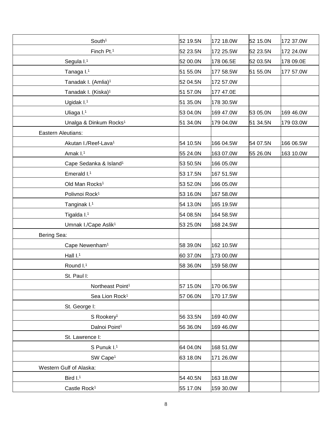| South <sup>1</sup>                 | 52 19.5N | 172 18.0W | 52 15.0N | 172 37.0W |
|------------------------------------|----------|-----------|----------|-----------|
| Finch Pt.1                         | 52 23.5N | 172 25.5W | 52 23.5N | 172 24.0W |
| Segula I.1                         | 52 00.0N | 178 06.5E | 52 03.5N | 178 09.0E |
| Tanaga I.1                         | 51 55.0N | 177 58.5W | 51 55.0N | 177 57.0W |
| Tanadak I. (Amlia) <sup>1</sup>    | 52 04.5N | 172 57.0W |          |           |
| Tanadak I. (Kiska) <sup>1</sup>    | 51 57.0N | 177 47.0E |          |           |
| Ugidak I.1                         | 51 35.0N | 178 30.5W |          |           |
| Uliaga I.1                         | 53 04.0N | 169 47.0W | 53 05.0N | 169 46.0W |
| Unalga & Dinkum Rocks <sup>1</sup> | 51 34.0N | 179 04.0W | 51 34.5N | 179 03.0W |
| Eastern Aleutians:                 |          |           |          |           |
| Akutan I./Reef-Lava <sup>1</sup>   | 54 10.5N | 166 04.5W | 54 07.5N | 166 06.5W |
| Amak I. <sup>1</sup>               | 55 24.0N | 163 07.0W | 55 26.0N | 163 10.0W |
| Cape Sedanka & Island <sup>1</sup> | 53 50.5N | 166 05.0W |          |           |
| Emerald I.1                        | 53 17.5N | 167 51.5W |          |           |
| Old Man Rocks <sup>1</sup>         | 53 52.0N | 166 05.0W |          |           |
| Polivnoi Rock <sup>1</sup>         | 53 16.0N | 167 58.0W |          |           |
| Tanginak I. <sup>1</sup>           | 54 13.0N | 165 19.5W |          |           |
| Tigalda I.1                        | 54 08.5N | 164 58.5W |          |           |
| Umnak I./Cape Aslik <sup>1</sup>   | 53 25.0N | 168 24.5W |          |           |
| Bering Sea:                        |          |           |          |           |
| Cape Newenham <sup>1</sup>         | 58 39.0N | 162 10.5W |          |           |
| Hall $I1$                          | 60 37.0N | 173 00.0W |          |           |
| Round I.1                          | 58 36.0N | 159 58.0W |          |           |
| St. Paul I:                        |          |           |          |           |
| Northeast Point <sup>1</sup>       | 57 15.0N | 170 06.5W |          |           |
| Sea Lion Rock <sup>1</sup>         | 57 06.0N | 170 17.5W |          |           |
| St. George I:                      |          |           |          |           |
| S Rookery <sup>1</sup>             | 56 33.5N | 169 40.0W |          |           |
| Dalnoi Point <sup>1</sup>          | 56 36.0N | 169 46.0W |          |           |
| St. Lawrence I:                    |          |           |          |           |
| S Punuk I.1                        | 64 04.0N | 168 51.0W |          |           |
| SW Cape <sup>1</sup>               | 63 18.0N | 171 26.0W |          |           |
| Western Gulf of Alaska:            |          |           |          |           |
| Bird I. <sup>1</sup>               | 54 40.5N | 163 18.0W |          |           |
| Castle Rock <sup>1</sup>           | 55 17.0N | 159 30.0W |          |           |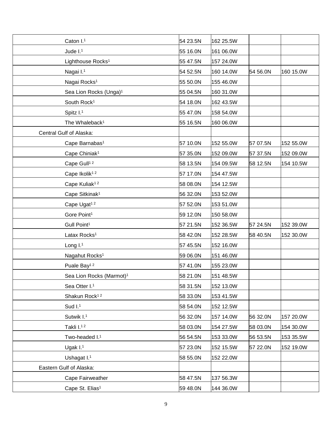| Caton I.1                            | 54 23.5N | 162 25.5W |          |           |
|--------------------------------------|----------|-----------|----------|-----------|
| Jude $1.1$                           | 55 16.0N | 161 06.0W |          |           |
| Lighthouse Rocks <sup>1</sup>        | 55 47.5N | 157 24.0W |          |           |
| Nagai I.1                            | 54 52.5N | 160 14.0W | 54 56.0N | 160 15.0W |
| Nagai Rocks <sup>1</sup>             | 55 50.0N | 155 46.0W |          |           |
| Sea Lion Rocks (Unga) <sup>1</sup>   | 55 04.5N | 160 31.0W |          |           |
| South Rock <sup>1</sup>              | 54 18.0N | 162 43.5W |          |           |
| Spitz I.1                            | 55 47.0N | 158 54.0W |          |           |
| The Whaleback <sup>1</sup>           | 55 16.5N | 160 06.0W |          |           |
| Central Gulf of Alaska:              |          |           |          |           |
| Cape Barnabas <sup>1</sup>           | 57 10.0N | 152 55.0W | 57 07.5N | 152 55.0W |
| Cape Chiniak <sup>1</sup>            | 57 35.0N | 152 09.0W | 57 37.5N | 152 09.0W |
| Cape Gull <sup>12</sup>              | 58 13.5N | 154 09.5W | 58 12.5N | 154 10.5W |
| Cape Ikolik <sup>12</sup>            | 57 17.0N | 154 47.5W |          |           |
| Cape Kuliak <sup>12</sup>            | 58 08.0N | 154 12.5W |          |           |
| Cape Sitkinak <sup>1</sup>           | 56 32.0N | 153 52.0W |          |           |
| Cape Ugat <sup>12</sup>              | 57 52.0N | 153 51.0W |          |           |
| Gore Point <sup>1</sup>              | 59 12.0N | 150 58.0W |          |           |
| Gull Point <sup>1</sup>              | 57 21.5N | 152 36.5W | 57 24.5N | 152 39.0W |
| Latax Rocks <sup>1</sup>             | 58 42.0N | 152 28.5W | 58 40.5N | 152 30.0W |
| Long I.1                             | 57 45.5N | 152 16.0W |          |           |
| Nagahut Rocks <sup>1</sup>           | 59 06.0N | 151 46.0W |          |           |
| Puale Bay <sup>12</sup>              | 57 41.0N | 155 23.0W |          |           |
| Sea Lion Rocks (Marmot) <sup>1</sup> | 58 21.0N | 151 48.5W |          |           |
| Sea Otter I.1                        | 58 31.5N | 152 13.0W |          |           |
| Shakun Rock <sup>12</sup>            | 58 33.0N | 153 41.5W |          |           |
| Sud $I1$                             | 58 54.0N | 152 12.5W |          |           |
| Sutwik I.1                           | 56 32.0N | 157 14.0W | 56 32.0N | 157 20.0W |
| Takli I. <sup>12</sup>               | 58 03.0N | 154 27.5W | 58 03.0N | 154 30.0W |
| Two-headed I.1                       | 56 54.5N | 153 33.0W | 56 53.5N | 153 35.5W |
| Ugak $I1$                            | 57 23.0N | 152 15.5W | 57 22.0N | 152 19.0W |
| Ushagat I.1                          | 58 55.0N | 152 22.0W |          |           |
| Eastern Gulf of Alaska:              |          |           |          |           |
| Cape Fairweather                     | 58 47.5N | 137 56.3W |          |           |
| Cape St. Elias <sup>1</sup>          | 59 48.0N | 144 36.0W |          |           |